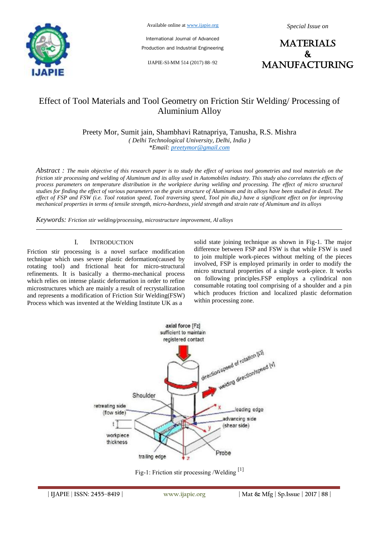

Available online at www.ijapie.org

*Special Issue on*

International Journal of Advanced Production and Industrial Engineering

IJAPIE-SI-MM 514 (2017) 88–92

**MATERIALS**  $\mathbf{k}$ manufacturing

# Effect of Tool Materials and Tool Geometry on Friction Stir Welding/ Processing of Aluminium Alloy

Preety Mor, Sumit jain, Shambhavi Ratnapriya, Tanusha, R.S. Mishra

*( Delhi Technological University, Delhi, India )*

*\*Email: preetymor@gmail.com*

*Abstract : The main objective of this research paper is to study the effect of various tool geometries and tool materials on the friction stir processing and welding of Aluminum and its alloy used in Automobiles industry. This study also correlates the effects of process parameters on temperature distribution in the workpiece during welding and processing. The effect of micro structural studies for finding the effect of various parameters on the grain structure of Aluminum and its alloys have been studied in detail. The effect of FSP and FSW (i.e. Tool rotation speed, Tool traversing speed, Tool pin dia,) have a significant effect on for improving mechanical properties in terms of tensile strength, micro-hardness, yield strength and strain rate of Aluminum and its alloys*

*Keywords: Friction stir welding/processing, microstructure improvement, Al alloys*

# I. INTRODUCTION

Friction stir processing is a novel surface modification technique which uses severe plastic deformation(caused by rotating tool) and frictional heat for micro-structural refinements. It is basically a thermo-mechanical process which relies on intense plastic deformation in order to refine microstructures which are mainly a result of recrystallization and represents a modification of Friction Stir Welding(FSW) Process which was invented at the Welding Institute UK as a

solid state joining technique as shown in Fig-1. The major difference between FSP and FSW is that while FSW is used to join multiple work-pieces without melting of the pieces involved, FSP is employed primarily in order to modify the micro structural properties of a single work-piece. It works on following principles.FSP employs a cylindrical non consumable rotating tool comprising of a shoulder and a pin which produces friction and localized plastic deformation within processing zone.



Fig-1: Friction stir processing /Welding  $\left[1\right]$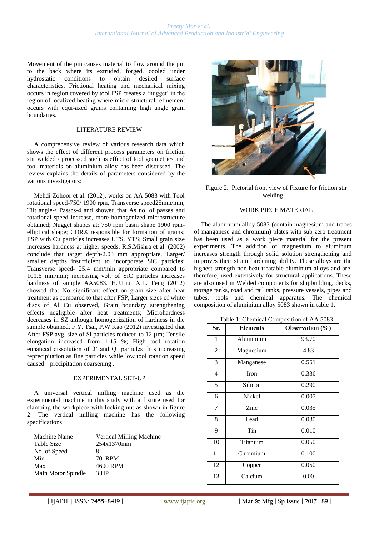Movement of the pin causes material to flow around the pin to the back where its extruded, forged, cooled under hydrostatic conditions to obtain desired surface characteristics. Frictional heating and mechanical mixing occurs in region covered by tool.FSP creates a 'nugget' in the region of localized heating where micro structural refinement occurs with equi-axed grains containing high angle grain boundaries.

#### LITERATURE REVIEW

A comprehensive review of various research data which shows the effect of different process parameters on friction stir welded / processed such as effect of tool geometries and tool materials on aluminium alloy has been discussed. The review explains the details of parameters considered by the various investigators:

Mehdi Zohoor et al. (2012), works on AA 5083 with Tool rotational speed-750/ 1900 rpm, Transverse speed25mm/min, Tilt angle-◦ Passes-4 and showed that As no. of passes and rotational speed increase, more homogenized microstructure obtained; Nugget shapes at: 750 rpm basin shape 1900 rpmelliptical shape; CDRX responsible for formation of grains; FSP with Cu particles increases UTS, YTS; Small grain size increases hardness at higher speeds. R.S.Mishra et al. (2002) conclude that target depth-2.03 mm appropriate, Larger/ smaller depths insufficient to incorporate SiC particles; Transverse speed- 25.4 mm/min appropriate compared to 101.6 mm/min; increasing vol. of SiC particles increases hardness of sample AA5083. H.J.Liu, X.L. Feng (2012) showed that No significant effect on grain size after heat treatment as compared to that after FSP, Larger sizes of white discs of Al Cu observed, Grain boundary strengthening effects negligible after heat treatments; Microhardness decreases in SZ although homogenization of hardness in the sample obtained. F.Y. Tsai, P.W.Kao (2012) investigated that After FSP avg. size of Si particles reduced to 12 µm; Tensile elongation increased from 1-15 %; High tool rotation enhanced dissolution of ß' and Q' particles thus increasing reprecipitation as fine particles while low tool rotation speed caused precipitation coarsening .

#### EXPERIMENTAL SET-UP

A universal vertical milling machine used as the experimental machine in this study with a fixture used for clamping the workpiece with locking nut as shown in figure 2. The vertical milling machine has the following specifications:

| Machine Name       | Vertical Milling Machine |
|--------------------|--------------------------|
| Table Size         | 254x1370mm               |
| No. of Speed       | 8                        |
| Min                | 70 RPM                   |
| Max                | 4600 RPM                 |
| Main Motor Spindle | 3 HP                     |



Figure 2. Pictorial front view of Fixture for friction stir welding

#### WORK PIECE MATERIAL

The aluminium alloy 5083 (contain magnesium and traces of manganese and chromium) plates with sub zero treatment has been used as a work piece material for the present experiments. The addition of magnesium to aluminum increases strength through solid solution strengthening and improves their strain hardening ability. These alloys are the highest strength non heat-treatable aluminum alloys and are, therefore, used extensively for structural applications. These are also used in Welded components for shipbuilding, decks, storage tanks, road and rail tanks, pressure vessels, pipes and tubes, tools and chemical apparatus. The chemical composition of aluminium alloy 5083 shown in table 1.

Table 1: Chemical Composition of AA 5083

| Sr.             | <b>Elements</b> | Observation (%) |
|-----------------|-----------------|-----------------|
| $\mathbf{1}$    | Aluminium       | 93.70           |
| $\overline{2}$  | Magnesium       | 4.83            |
| 3               | Manganese       | 0.551           |
| $\overline{4}$  | Iron            | 0.336           |
| 5               | Silicon         | 0.290           |
| 6               | Nickel          | 0.007           |
| $\overline{7}$  | Zinc            | 0.035           |
| 8               | Lead            | 0.030           |
| 9               | Tin             | 0.010           |
| $\overline{10}$ | Titanium        | 0.050           |
| 11              | Chromium        | 0.100           |
| 12              | Copper          | 0.050           |
| 13              | Calcium         | 0.00            |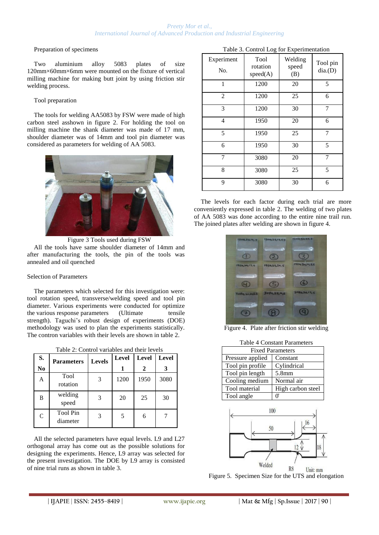# *Preety Mor et al., International Journal of Advanced Production and Industrial Engineering*

#### Preparation of specimens

Two aluminium alloy 5083 plates of size 120mm×60mm×6mm were mounted on the fixture of vertical milling machine for making butt joint by using friction stir welding process.

#### Tool preparation

The tools for welding AA5083 by FSW were made of high carbon steel asshown in figure 2. For holding the tool on milling machine the shank diameter was made of 17 mm, shoulder diameter was of 14mm and tool pin diameter was considered as parameters for welding of AA 5083.



Figure 3 Tools used during FSW All the tools have same shoulder diameter of 14mm and after manufacturing the tools, the pin of the tools was annealed and oil quenched

Selection of Parameters

The parameters which selected for this investigation were: tool rotation speed, transverse/welding speed and tool pin diameter. Various experiments were conducted for optimize the various response parameters (Ultimate tensile strength). Taguchi's robust design of experiments (DOE) methodology was used to plan the experiments statistically. The contron variables with their levels are shown in table 2.

| S.             | <b>Parameters</b>           | <b>Levels</b> | Level | Level | Level |
|----------------|-----------------------------|---------------|-------|-------|-------|
| N <sub>0</sub> |                             |               |       | 2     | 3     |
| A              | Tool<br>rotation            | 3             | 1200  | 1950  | 3080  |
| B              | welding<br>speed            | 3             | 20    | 25    | 30    |
| C              | <b>Tool Pin</b><br>diameter | 3             | 5     |       |       |

All the selected parameters have equal levels. L9 and L27 orthogonal array has come out as the possible solutions for designing the experiments. Hence, L9 array was selected for the present investigation. The DOE by L9 array is consisted of nine trial runs as shown in table 3.

| Experiment<br>No. | Tool<br>rotation<br>speed(A) | Welding<br>speed<br>(B) | Tool pin<br>dia(D) |
|-------------------|------------------------------|-------------------------|--------------------|
| 1                 | 1200                         | 20                      | 5                  |
| $\overline{c}$    | 1200                         | 25                      | 6                  |
| 3                 | 1200                         | 30                      | 7                  |
| 4                 | 1950                         | 20                      | 6                  |
| 5                 | 1950                         | 25                      | 7                  |
| 6                 | 1950                         | 30                      | 5                  |
| 7                 | 3080                         | 20                      | 7                  |
| 8                 | 3080                         | 25                      | 5                  |
| 9                 | 3080                         | 30                      | 6                  |

The levels for each factor during each trial are more conveniently expressed in table 2. The welding of two plates of AA 5083 was done according to the entire nine trail run. The joined plates after welding are shown in figure 4.



Figure 4. Plate after friction stir welding

Table 4 Constant Parameters

| <b>Fixed Parameters</b> |                   |  |  |  |
|-------------------------|-------------------|--|--|--|
| Pressure applied        | Constant          |  |  |  |
| Tool pin profile        | Cylindrical       |  |  |  |
| Tool pin length         | 5.8mm             |  |  |  |
| Cooling medium          | Normal air        |  |  |  |
| Tool material           | High carbon steel |  |  |  |
| Tool angle              |                   |  |  |  |



Figure 5. Specimen Size for the UTS and elongation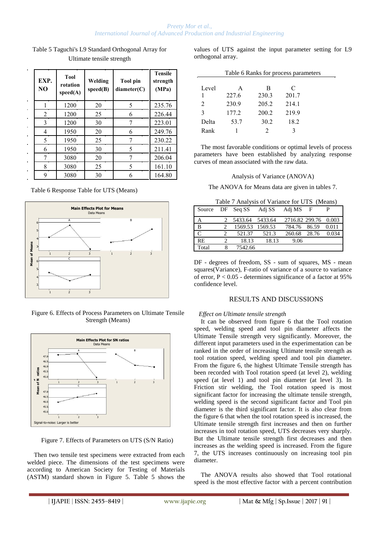| EXP.<br>NO | Tool<br>rotation<br>speed(A) | Welding<br>speed(B) | <b>Tool</b> pin<br>diameter(C) | <b>Tensile</b><br>strength<br>(MPa) |
|------------|------------------------------|---------------------|--------------------------------|-------------------------------------|
|            | 1200                         | 20                  | 5                              | 235.76                              |
| 2          | 1200                         | 25                  | 6                              | 226.44                              |
| 3          | 1200                         | 30                  |                                | 223.01                              |
| 4          | 1950                         | 20                  | 6                              | 249.76                              |
| 5          | 1950                         | 25                  |                                | 230.22                              |
| 6          | 1950                         | 30                  | 5                              | 211.41                              |
| 7          | 3080                         | 20                  |                                | 206.04                              |
| 8          | 3080                         | 25                  | 5                              | 161.10                              |
| 9          | 3080                         | 30                  | 6                              | 164.80                              |

Table 5 Taguchi's L9 Standard Orthogonal Array for Ultimate tensile strength

Table 6 Response Table for UTS (Means)



Figure 6. Effects of Process Parameters on Ultimate Tensile Strength (Means)



Figure 7. Effects of Parameters on UTS (S/N Ratio)

Then two tensile test specimens were extracted from each welded piece. The dimensions of the test specimens were according to American Society for Testing of Materials (ASTM) standard shown in Figure 5. Table 5 shows the values of UTS against the input parameter setting for L9 orthogonal array.

|       | Table 6 Ranks for process parameters |               |       |  |  |  |
|-------|--------------------------------------|---------------|-------|--|--|--|
|       |                                      |               |       |  |  |  |
| Level | A                                    | В             | C     |  |  |  |
|       | 227.6                                | 230.3         | 201.7 |  |  |  |
| 2     | 230.9                                | 205.2         | 214.1 |  |  |  |
| 3     | 177.2                                | 200.2         | 219.9 |  |  |  |
| Delta | 53.7                                 | 30.2          | 18.2  |  |  |  |
| Rank  |                                      | $\mathcal{L}$ | 3     |  |  |  |

The most favorable conditions or optimal levels of process parameters have been established by analyzing response curves of mean associated with the raw data.

#### Analysis of Variance (ANOVA)

The ANOVA for Means data are given in tables 7.

Table 7 Analysis of Variance for UTS (Means)

|                | Source DF Seq SS | Adi SS | Adj MS F             |       |       |
|----------------|------------------|--------|----------------------|-------|-------|
| A              | 5433.64 5433.64  |        | 2716.82 299.76 0.003 |       |       |
| $\overline{B}$ | 1569.53 1569.53  |        | 784.76               | 86.59 | 0.011 |
| $\mathcal{C}$  | 521.37           | 521.3  | 260.68               | 28.76 | 0.034 |
| - RE           | 18.13            | 18.13  | 9.06                 |       |       |
| Total          | 7542.66          |        |                      |       |       |

DF - degrees of freedom, SS - sum of squares, MS - mean squares(Variance), F-ratio of variance of a source to variance of error,  $P < 0.05$  - determines significance of a factor at 95% confidence level.

### RESULTS AND DISCUSSIONS

#### *Effect on Ultimate tensile strength*

It can be observed from figure 6 that the Tool rotation speed, welding speed and tool pin diameter affects the Ultimate Tensile strength very significantly. Moreover, the different input parameters used in the experimentation can be ranked in the order of increasing Ultimate tensile strength as tool rotation speed, welding speed and tool pin diameter. From the figure 6, the highest Ultimate Tensile strength has been recorded with Tool rotation speed (at level 2), welding speed (at level 1) and tool pin diameter (at level 3). In Friction stir welding, the Tool rotation speed is most significant factor for increasing the ultimate tensile strength, welding speed is the second significant factor and Tool pin diameter is the third significant factor. It is also clear from the figure 6 that when the tool rotation speed is increased, the Ultimate tensile strength first increases and then on further increases in tool rotation speed, UTS decreases very sharply. But the Ultimate tensile strength first decreases and then increases as the welding speed is increased. From the figure 7, the UTS increases continuously on increasing tool pin diameter.

The ANOVA results also showed that Tool rotational speed is the most effective factor with a percent contribution